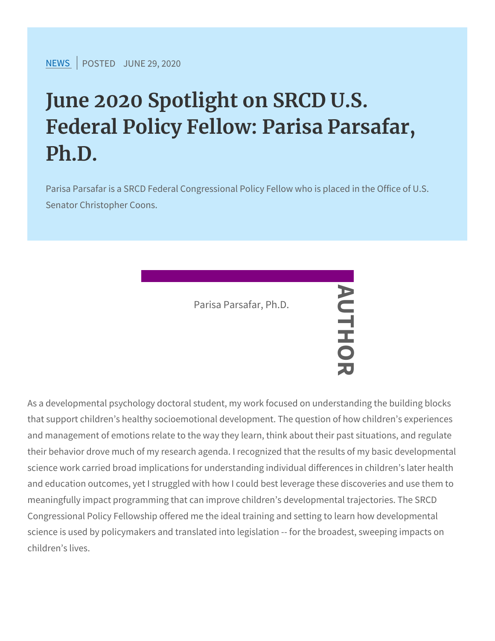## June 2020 Spotlight on SRCD U. Federal Policy Fellow: Parisa Pa Ph.D.

Parisa Parsafar is a SRCD Federal Congressional Policy Fellow Senator Christopher Coons.

Parisa Parsafar, Ph.D.<br>  $\begin{array}{c}\n\bullet \\
\hline\n\downarrow\n\end{array}$ 

As a developmental psychology doctoral student, my work focused on that support children s healthy socioemotion all development. The question of  $\overline{a}$ and management of emotions relate to the way they learn, think abo their behavior drove much of my research agenda. I recognized that science work carried broad implications for understanding individua and education outcomes, yet I struggled with how I could best lever meaningfully impact programming that can improve children s devel Congressional Policy Fellowship offered me the ideal training and s science is used by policymakers and translated into legislation -- f children s lives.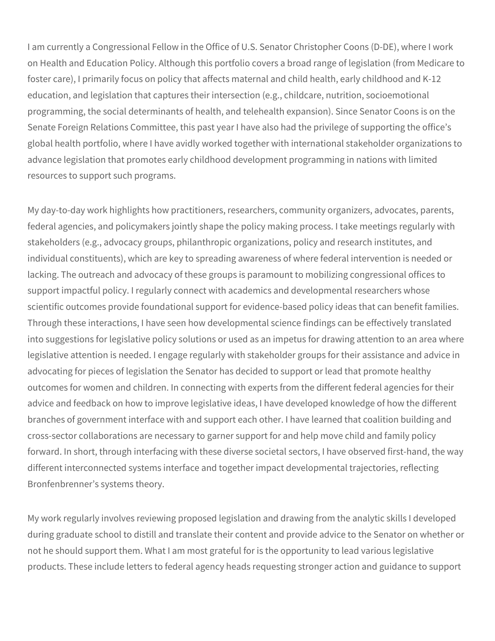I am currently a Congressional Fellow in the Office of U.S. Senator Christopher Coons (D-DE), where I work on Health and Education Policy. Although this portfolio covers a broad range of legislation (from Medicare to foster care), I primarily focus on policy that affects maternal and child health, early childhood and K-12 education, and legislation that captures their intersection (e.g., childcare, nutrition, socioemotional programming, the social determinants of health, and telehealth expansion). Since Senator Coons is on the Senate Foreign Relations Committee, this past year I have also had the privilege of supporting the office's global health portfolio, where I have avidly worked together with international stakeholder organizations to advance legislation that promotes early childhood development programming in nations with limited resources to support such programs.

My day-to-day work highlights how practitioners, researchers, community organizers, advocates, parents, federal agencies, and policymakers jointly shape the policy making process. I take meetings regularly with stakeholders (e.g., advocacy groups, philanthropic organizations, policy and research institutes, and individual constituents), which are key to spreading awareness of where federal intervention is needed or lacking. The outreach and advocacy of these groups is paramount to mobilizing congressional offices to support impactful policy. I regularly connect with academics and developmental researchers whose scientific outcomes provide foundational support for evidence-based policy ideas that can benefit families. Through these interactions, I have seen how developmental science findings can be effectively translated into suggestions for legislative policy solutions or used as an impetus for drawing attention to an area where legislative attention is needed. I engage regularly with stakeholder groups for their assistance and advice in advocating for pieces of legislation the Senator has decided to support or lead that promote healthy outcomes for women and children. In connecting with experts from the different federal agencies for their advice and feedback on how to improve legislative ideas, I have developed knowledge of how the different branches of government interface with and support each other. I have learned that coalition building and cross-sector collaborations are necessary to garner support for and help move child and family policy forward. In short, through interfacing with these diverse societal sectors, I have observed first-hand, the way different interconnected systems interface and together impact developmental trajectories, reflecting Bronfenbrenner's systems theory.

My work regularly involves reviewing proposed legislation and drawing from the analytic skills I developed during graduate school to distill and translate their content and provide advice to the Senator on whether or not he should support them. What I am most grateful for is the opportunity to lead various legislative products. These include letters to federal agency heads requesting stronger action and guidance to support